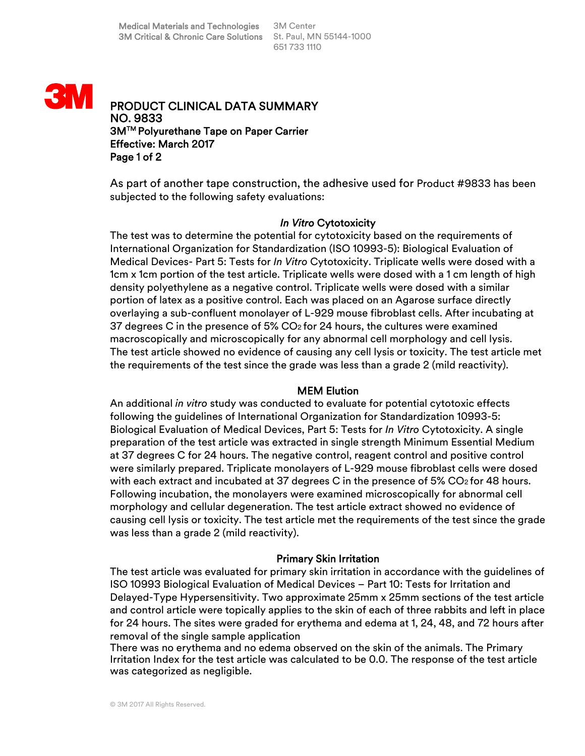

PRODUCT CLINICAL DATA SUMMARY NO. 9833 3MTM Polyurethane Tape on Paper Carrier Effective: March 2017 Page 1 of 2

As part of another tape construction, the adhesive used for Product #9833 has been subjected to the following safety evaluations:

## *In Vitro* Cytotoxicity

The test was to determine the potential for cytotoxicity based on the requirements of International Organization for Standardization (ISO 10993-5): Biological Evaluation of Medical Devices- Part 5: Tests for *In Vitro* Cytotoxicity. Triplicate wells were dosed with a 1cm x 1cm portion of the test article. Triplicate wells were dosed with a 1 cm length of high density polyethylene as a negative control. Triplicate wells were dosed with a similar portion of latex as a positive control. Each was placed on an Agarose surface directly overlaying a sub-confluent monolayer of L-929 mouse fibroblast cells. After incubating at 37 degrees C in the presence of  $5\%$  CO<sub>2</sub> for 24 hours, the cultures were examined macroscopically and microscopically for any abnormal cell morphology and cell lysis. The test article showed no evidence of causing any cell lysis or toxicity. The test article met the requirements of the test since the grade was less than a grade 2 (mild reactivity).

## MEM Elution

An additional *in vitro* study was conducted to evaluate for potential cytotoxic effects following the guidelines of International Organization for Standardization 10993-5: Biological Evaluation of Medical Devices, Part 5: Tests for *In Vitro* Cytotoxicity. A single preparation of the test article was extracted in single strength Minimum Essential Medium at 37 degrees C for 24 hours. The negative control, reagent control and positive control were similarly prepared. Triplicate monolayers of L-929 mouse fibroblast cells were dosed with each extract and incubated at 37 degrees C in the presence of 5% CO2 for 48 hours. Following incubation, the monolayers were examined microscopically for abnormal cell morphology and cellular degeneration. The test article extract showed no evidence of causing cell lysis or toxicity. The test article met the requirements of the test since the grade was less than a grade 2 (mild reactivity).

# Primary Skin Irritation

The test article was evaluated for primary skin irritation in accordance with the guidelines of ISO 10993 Biological Evaluation of Medical Devices – Part 10: Tests for Irritation and Delayed-Type Hypersensitivity. Two approximate 25mm x 25mm sections of the test article and control article were topically applies to the skin of each of three rabbits and left in place for 24 hours. The sites were graded for erythema and edema at 1, 24, 48, and 72 hours after removal of the single sample application

There was no erythema and no edema observed on the skin of the animals. The Primary Irritation Index for the test article was calculated to be 0.0. The response of the test article was categorized as negligible.